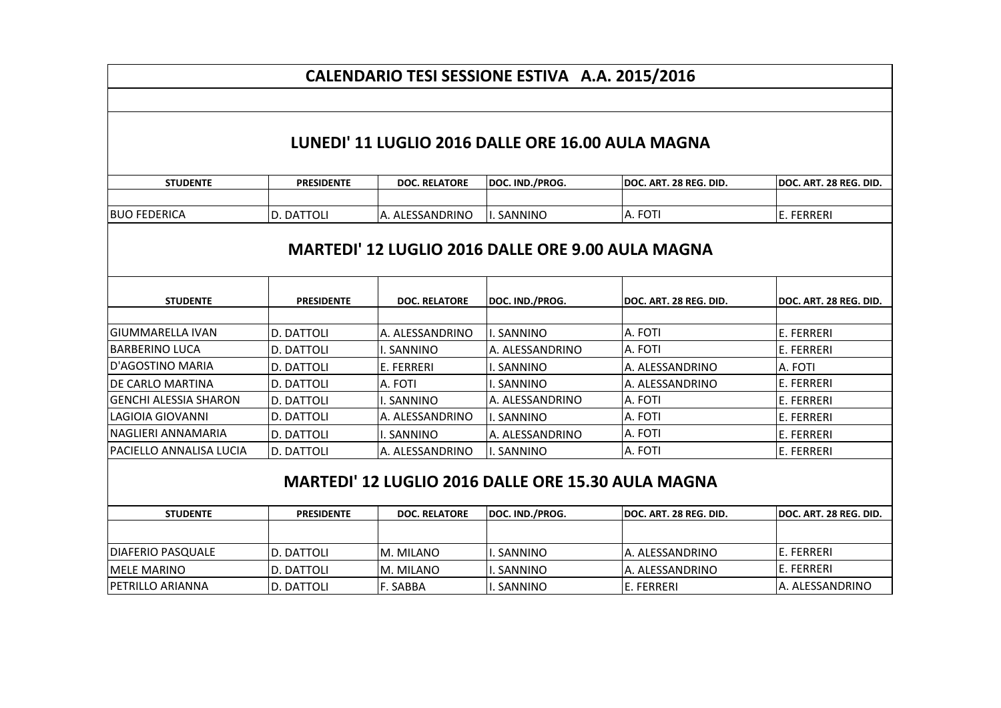## **CALENDARIO TESI SESSIONE ESTIVA A.A. 2015/2016**

## **LUNEDI' 11 LUGLIO 2016 DALLE ORE 16.00 AULA MAGNA**

| <b>STUDENTE</b>                                           | <b>PRESIDENTE</b> | <b>DOC. RELATORE</b> | DOC. IND./PROG.      | DOC. ART. 28 REG. DID. | DOC. ART. 28 REG. DID. |  |
|-----------------------------------------------------------|-------------------|----------------------|----------------------|------------------------|------------------------|--|
|                                                           |                   |                      |                      |                        |                        |  |
| IBUO FEDERICA                                             | D. DATTOLI        | A. ALESSANDRINO      | . SANNINO            | A. FOTI                | E. FERRERI             |  |
| <b>MARTEDI' 12 LUGLIO 2016 DALLE ORE 9.00 AULA MAGNA</b>  |                   |                      |                      |                        |                        |  |
|                                                           |                   |                      |                      |                        |                        |  |
| <b>STUDENTE</b>                                           | <b>PRESIDENTE</b> | <b>DOC. RELATORE</b> | DOC. IND./PROG.      | DOC. ART. 28 REG. DID. | DOC. ART. 28 REG. DID. |  |
| lGIUMMARELLA IVAN                                         | D. DATTOLI        | A. ALESSANDRINO      | . SANNINO            | A. FOTI                | E. FERRERI             |  |
| IBARBERINO LUCA                                           | D. DATTOLI        | I. SANNINO           | A. ALESSANDRINO      | A. FOTI                | E. FERRERI             |  |
| lD'AGOSTINO MARIA                                         | D. DATTOLI        | E. FERRERI           | . SANNINO            | A. ALESSANDRINO        | A. FOTI                |  |
| IDE CARLO MARTINA                                         | D. DATTOLI        | A. FOTI              | . SANNINO            | A. ALESSANDRINO        | E. FERRERI             |  |
| lGENCHI ALESSIA SHARON                                    | D. DATTOLI        | I. SANNINO           | A. ALESSANDRINO      | A. FOTI                | E. FERRERI             |  |
| lLAGIOIA GIOVANNI                                         | D. DATTOLI        | A. ALESSANDRINO      | I. SANNINO           | A. FOTI                | E. FERRERI             |  |
| INAGLIERI ANNAMARIA                                       | D. DATTOLI        | SANNINO              | A. ALESSANDRINO      | A. FOTI                | E. FERRERI             |  |
| IPACIELLO ANNALISA LUCIA                                  | <b>D. DATTOLI</b> | A. ALESSANDRINO      | I. SANNINO           | A. FOTI                | E. FERRERI             |  |
| <b>MARTEDI' 12 LUGLIO 2016 DALLE ORE 15.30 AULA MAGNA</b> |                   |                      |                      |                        |                        |  |
|                                                           |                   | BOO BELATORE         | <b>BOO IND IBBOO</b> | BOO ARE 30 BER BIR     | BOS ART 30 BES BIB     |  |

| <b>STUDENTE</b>          | <b>PRESIDENTE</b>  | DOC. RELATORE | <b>IDOC. IND./PROG.</b> | <b>IDOC. ART. 28 REG. DID.</b> | IDOC. ART. 28 REG. DID. |
|--------------------------|--------------------|---------------|-------------------------|--------------------------------|-------------------------|
|                          |                    |               |                         |                                |                         |
|                          |                    |               |                         |                                |                         |
| <b>DIAFERIO PASQUALE</b> | <b>ID. DATTOLI</b> | IM. MILANO    | . SANNINO               | IA. ALESSANDRINO               | IE. FERRERI             |
| IMELE MARINO             | ID. DATTOLI        | IM. MILANO    | . SANNINO               | IA. ALESSANDRINO               | IE. FERRERI             |
| <b>IPETRILLO ARIANNA</b> | ID. DATTOLI        | IF. SABBA     | . SANNINO               | IE. FERRERI                    | IA. ALESSANDRINO        |